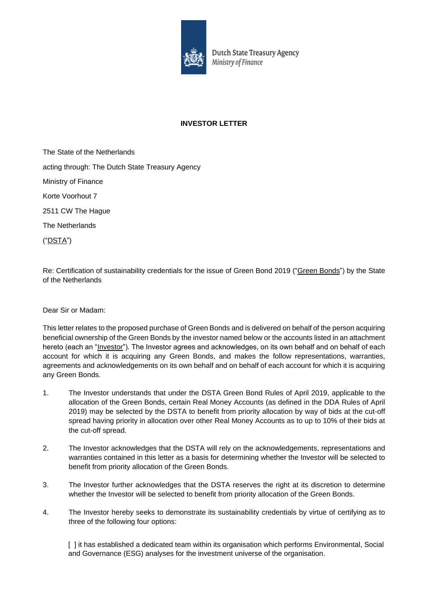

Dutch State Treasury Agency Ministry of Finance

## **INVESTOR LETTER**

The State of the Netherlands acting through: The Dutch State Treasury Agency Ministry of Finance Korte Voorhout 7 2511 CW The Hague The Netherlands ("DSTA")

Re: Certification of sustainability credentials for the issue of Green Bond 2019 ("Green Bonds") by the State of the Netherlands

Dear Sir or Madam:

This letter relates to the proposed purchase of Green Bonds and is delivered on behalf of the person acquiring beneficial ownership of the Green Bonds by the investor named below or the accounts listed in an attachment hereto (each an "Investor"). The Investor agrees and acknowledges, on its own behalf and on behalf of each account for which it is acquiring any Green Bonds, and makes the follow representations, warranties, agreements and acknowledgements on its own behalf and on behalf of each account for which it is acquiring any Green Bonds.

- 1. The Investor understands that under the DSTA Green Bond Rules of April 2019, applicable to the allocation of the Green Bonds, certain Real Money Accounts (as defined in the DDA Rules of April 2019) may be selected by the DSTA to benefit from priority allocation by way of bids at the cut-off spread having priority in allocation over other Real Money Accounts as to up to 10% of their bids at the cut-off spread.
- 2. The Investor acknowledges that the DSTA will rely on the acknowledgements, representations and warranties contained in this letter as a basis for determining whether the Investor will be selected to benefit from priority allocation of the Green Bonds.
- 3. The Investor further acknowledges that the DSTA reserves the right at its discretion to determine whether the Investor will be selected to benefit from priority allocation of the Green Bonds.
- 4. The Investor hereby seeks to demonstrate its sustainability credentials by virtue of certifying as to three of the following four options:

[ ] it has established a dedicated team within its organisation which performs Environmental, Social and Governance (ESG) analyses for the investment universe of the organisation.